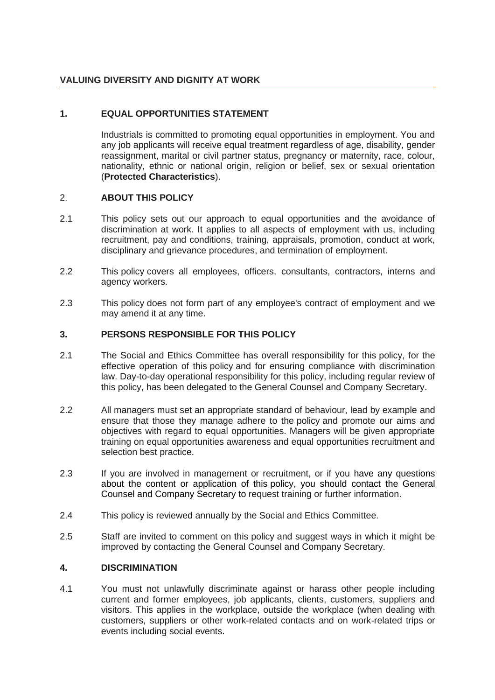# **VALUING DIVERSITY AND DIGNITY AT WORK**

# **1. EQUAL OPPORTUNITIES STATEMENT**

Industrials is committed to promoting equal opportunities in employment. You and any job applicants will receive equal treatment regardless of age, disability, gender reassignment, marital or civil partner status, pregnancy or maternity, race, colour, nationality, ethnic or national origin, religion or belief, sex or sexual orientation (**Protected Characteristics**).

#### 2. **ABOUT THIS POLICY**

- 2.1 This policy sets out our approach to equal opportunities and the avoidance of discrimination at work. It applies to all aspects of employment with us, including recruitment, pay and conditions, training, appraisals, promotion, conduct at work, disciplinary and grievance procedures, and termination of employment.
- 2.2 This policy covers all employees, officers, consultants, contractors, interns and agency workers.
- 2.3 This policy does not form part of any employee's contract of employment and we may amend it at any time.

### **3. PERSONS RESPONSIBLE FOR THIS POLICY**

- 2.1 The Social and Ethics Committee has overall responsibility for this policy, for the effective operation of this policy and for ensuring compliance with discrimination law. Day-to-day operational responsibility for this policy, including regular review of this policy, has been delegated to the General Counsel and Company Secretary.
- 2.2 All managers must set an appropriate standard of behaviour, lead by example and ensure that those they manage adhere to the policy and promote our aims and objectives with regard to equal opportunities. Managers will be given appropriate training on equal opportunities awareness and equal opportunities recruitment and selection best practice.
- 2.3 If you are involved in management or recruitment, or if you have any questions about the content or application of this policy, you should contact the General Counsel and Company Secretary to request training or further information.
- 2.4 This policy is reviewed annually by the Social and Ethics Committee.
- 2.5 Staff are invited to comment on this policy and suggest ways in which it might be improved by contacting the General Counsel and Company Secretary.

#### **4. DISCRIMINATION**

4.1 You must not unlawfully discriminate against or harass other people including current and former employees, job applicants, clients, customers, suppliers and visitors. This applies in the workplace, outside the workplace (when dealing with customers, suppliers or other work-related contacts and on work-related trips or events including social events.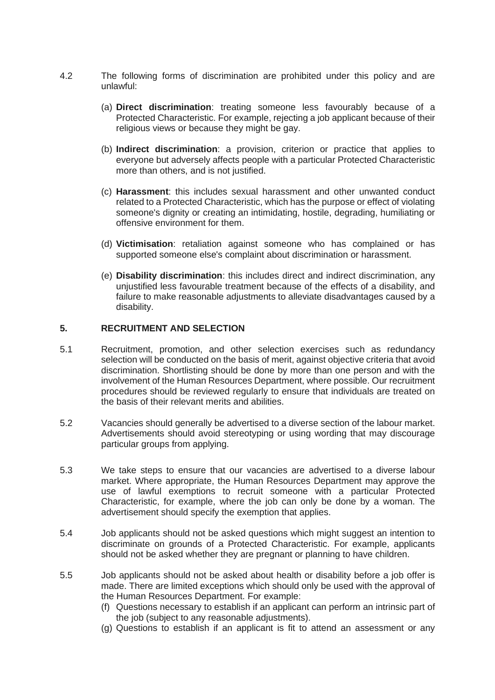- 4.2 The following forms of discrimination are prohibited under this policy and are unlawful:
	- (a) **Direct discrimination**: treating someone less favourably because of a Protected Characteristic. For example, rejecting a job applicant because of their religious views or because they might be gay.
	- (b) **Indirect discrimination**: a provision, criterion or practice that applies to everyone but adversely affects people with a particular Protected Characteristic more than others, and is not justified.
	- (c) **Harassment**: this includes sexual harassment and other unwanted conduct related to a Protected Characteristic, which has the purpose or effect of violating someone's dignity or creating an intimidating, hostile, degrading, humiliating or offensive environment for them.
	- (d) **Victimisation**: retaliation against someone who has complained or has supported someone else's complaint about discrimination or harassment.
	- (e) **Disability discrimination**: this includes direct and indirect discrimination, any unjustified less favourable treatment because of the effects of a disability, and failure to make reasonable adjustments to alleviate disadvantages caused by a disability.

### **5. RECRUITMENT AND SELECTION**

- 5.1 Recruitment, promotion, and other selection exercises such as redundancy selection will be conducted on the basis of merit, against objective criteria that avoid discrimination. Shortlisting should be done by more than one person and with the involvement of the Human Resources Department, where possible. Our recruitment procedures should be reviewed regularly to ensure that individuals are treated on the basis of their relevant merits and abilities.
- 5.2 Vacancies should generally be advertised to a diverse section of the labour market. Advertisements should avoid stereotyping or using wording that may discourage particular groups from applying.
- 5.3 We take steps to ensure that our vacancies are advertised to a diverse labour market. Where appropriate, the Human Resources Department may approve the use of lawful exemptions to recruit someone with a particular Protected Characteristic, for example, where the job can only be done by a woman. The advertisement should specify the exemption that applies.
- 5.4 Job applicants should not be asked questions which might suggest an intention to discriminate on grounds of a Protected Characteristic. For example, applicants should not be asked whether they are pregnant or planning to have children.
- 5.5 Job applicants should not be asked about health or disability before a job offer is made. There are limited exceptions which should only be used with the approval of the Human Resources Department. For example:
	- (f) Questions necessary to establish if an applicant can perform an intrinsic part of the job (subject to any reasonable adjustments).
	- (g) Questions to establish if an applicant is fit to attend an assessment or any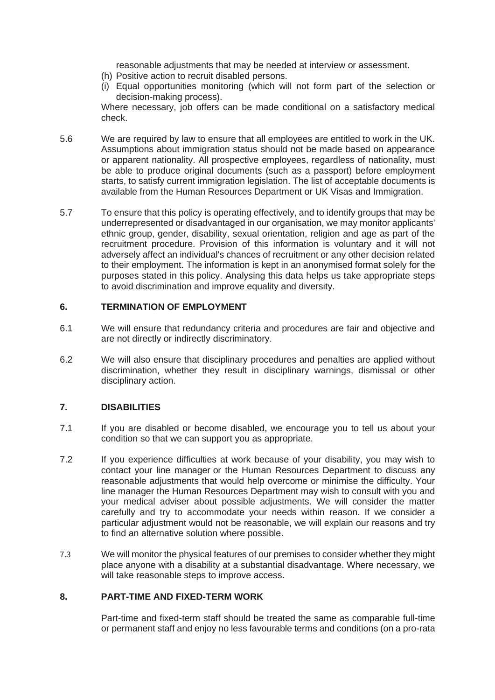reasonable adjustments that may be needed at interview or assessment.

- (h) Positive action to recruit disabled persons.
- (i) Equal opportunities monitoring (which will not form part of the selection or decision-making process).

Where necessary, job offers can be made conditional on a satisfactory medical check.

- 5.6 We are required by law to ensure that all employees are entitled to work in the UK. Assumptions about immigration status should not be made based on appearance or apparent nationality. All prospective employees, regardless of nationality, must be able to produce original documents (such as a passport) before employment starts, to satisfy current immigration legislation. The list of acceptable documents is available from the Human Resources Department or UK Visas and Immigration.
- 5.7 To ensure that this policy is operating effectively, and to identify groups that may be underrepresented or disadvantaged in our organisation, we may monitor applicants' ethnic group, gender, disability, sexual orientation, religion and age as part of the recruitment procedure. Provision of this information is voluntary and it will not adversely affect an individual's chances of recruitment or any other decision related to their employment. The information is kept in an anonymised format solely for the purposes stated in this policy. Analysing this data helps us take appropriate steps to avoid discrimination and improve equality and diversity.

### **6. TERMINATION OF EMPLOYMENT**

- 6.1 We will ensure that redundancy criteria and procedures are fair and objective and are not directly or indirectly discriminatory.
- 6.2 We will also ensure that disciplinary procedures and penalties are applied without discrimination, whether they result in disciplinary warnings, dismissal or other disciplinary action.

# **7. DISABILITIES**

- 7.1 If you are disabled or become disabled, we encourage you to tell us about your condition so that we can support you as appropriate.
- 7.2 If you experience difficulties at work because of your disability, you may wish to contact your line manager or the Human Resources Department to discuss any reasonable adjustments that would help overcome or minimise the difficulty. Your line manager the Human Resources Department may wish to consult with you and your medical adviser about possible adjustments. We will consider the matter carefully and try to accommodate your needs within reason. If we consider a particular adjustment would not be reasonable, we will explain our reasons and try to find an alternative solution where possible.
- 7.3 We will monitor the physical features of our premises to consider whether they might place anyone with a disability at a substantial disadvantage. Where necessary, we will take reasonable steps to improve access.

# **8. PART-TIME AND FIXED-TERM WORK**

Part-time and fixed-term staff should be treated the same as comparable full-time or permanent staff and enjoy no less favourable terms and conditions (on a pro-rata